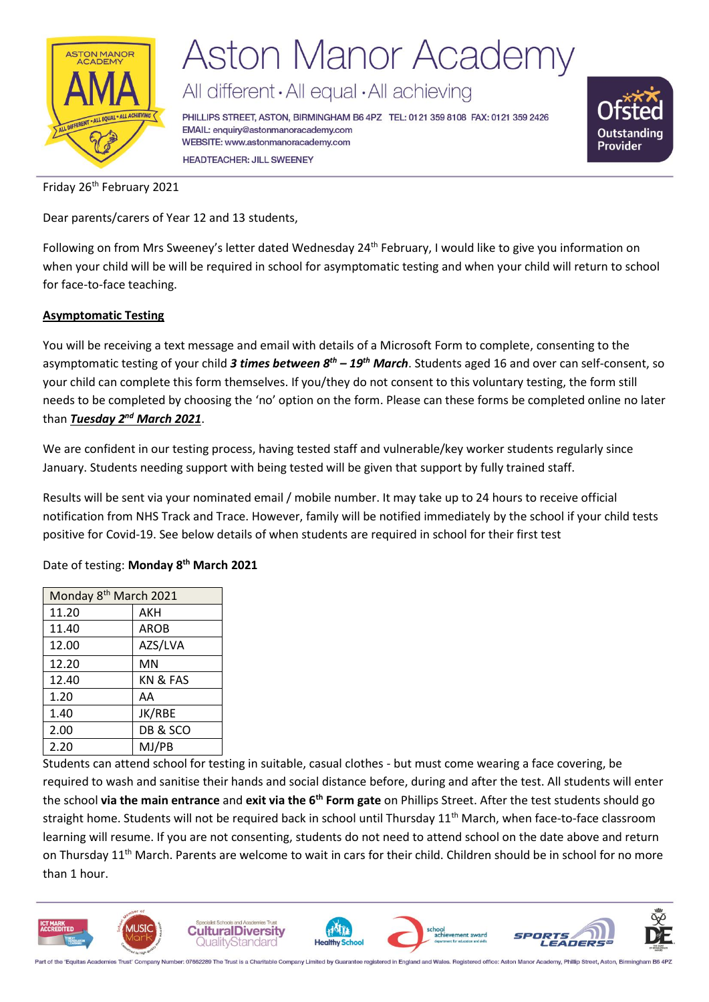

## **Aston Manor Academy**

All different · All equal · All achieving

PHILLIPS STREET, ASTON, BIRMINGHAM B6 4PZ TEL: 0121 359 8108 FAX: 0121 359 2426 EMAIL: enquiry@astonmanoracademy.com WEBSITE: www.astonmanoracademy.com **HEADTEACHER: JILL SWEENEY** 



Friday 26<sup>th</sup> February 2021

Dear parents/carers of Year 12 and 13 students,

Following on from Mrs Sweeney's letter dated Wednesday 24<sup>th</sup> February, I would like to give you information on when your child will be will be required in school for asymptomatic testing and when your child will return to school for face-to-face teaching.

### **Asymptomatic Testing**

You will be receiving a text message and email with details of a Microsoft Form to complete, consenting to the asymptomatic testing of your child *3 times between 8th – 19th March*. Students aged 16 and over can self-consent, so your child can complete this form themselves. If you/they do not consent to this voluntary testing, the form still needs to be completed by choosing the 'no' option on the form. Please can these forms be completed online no later than *Tuesday 2nd March 2021*.

We are confident in our testing process, having tested staff and vulnerable/key worker students regularly since January. Students needing support with being tested will be given that support by fully trained staff.

Results will be sent via your nominated email / mobile number. It may take up to 24 hours to receive official notification from NHS Track and Trace. However, family will be notified immediately by the school if your child tests positive for Covid-19. See below details of when students are required in school for their first test

### Date of testing: **Monday 8th March 2021**

| Monday 8 <sup>th</sup> March 2021 |             |  |
|-----------------------------------|-------------|--|
| 11.20                             | AKH         |  |
| 11.40                             | <b>AROB</b> |  |
| 12.00                             | AZS/LVA     |  |
| 12.20                             | MN          |  |
| 12.40                             | KN & FAS    |  |
| 1.20                              | AA          |  |
| 1.40                              | JK/RBE      |  |
| 2.00                              | DB & SCO    |  |
| 2.20                              | MJ/PB       |  |

Students can attend school for testing in suitable, casual clothes - but must come wearing a face covering, be required to wash and sanitise their hands and social distance before, during and after the test. All students will enter the school **via the main entrance** and **exit via the 6th Form gate** on Phillips Street. After the test students should go straight home. Students will not be required back in school until Thursday 11<sup>th</sup> March, when face-to-face classroom learning will resume. If you are not consenting, students do not need to attend school on the date above and return on Thursday 11<sup>th</sup> March. Parents are welcome to wait in cars for their child. Children should be in school for no more than 1 hour.



art of the 'Equitas Academies Trust' Company Number: 07662289 The Trust is a Charitable Company Limited by Guarantee registered in England and Wales. Registered office: Aston Manor Acad my, Phillip Street, Aston, Birmingh